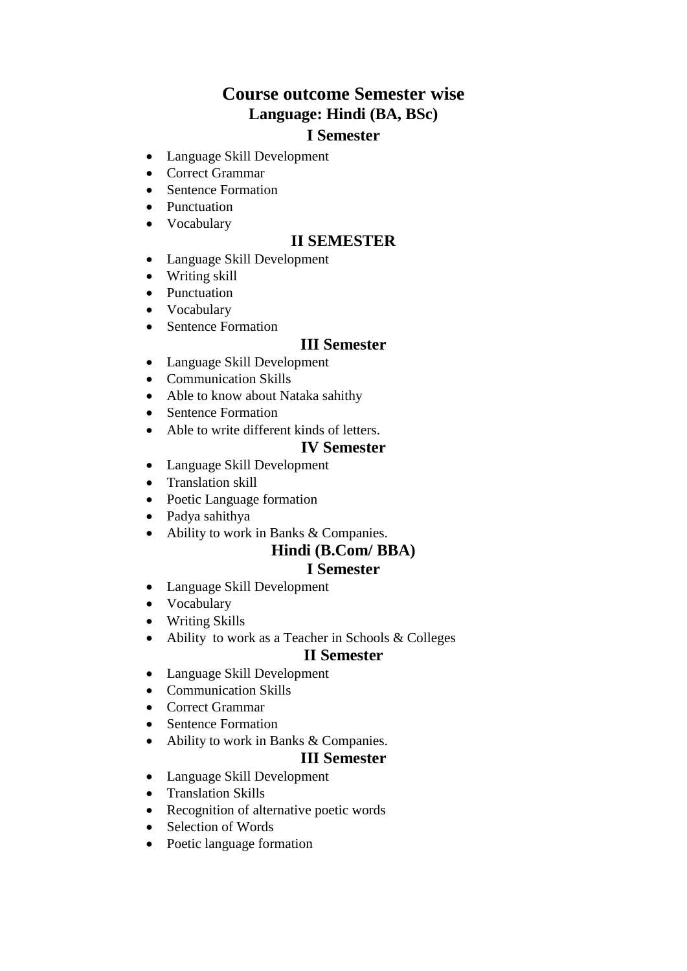# **Course outcome Semester wise Language: Hindi (BA, BSc)**

## **I Semester**

- Language Skill Development
- Correct Grammar
- Sentence Formation
- Punctuation
- Vocabulary

#### **II SEMESTER**

- Language Skill Development
- Writing skill
- Punctuation
- Vocabulary
- Sentence Formation

#### **III Semester**

- Language Skill Development
- Communication Skills
- Able to know about Nataka sahithy
- Sentence Formation
- Able to write different kinds of letters.

#### **IV Semester**

- Language Skill Development
- Translation skill
- Poetic Language formation
- Padya sahithya
- Ability to work in Banks & Companies.

# **Hindi (B.Com/ BBA)**

### **I Semester**

- Language Skill Development
- Vocabulary
- Writing Skills
- Ability to work as a Teacher in Schools & Colleges

#### **II Semester**

- Language Skill Development
- Communication Skills
- Correct Grammar
- Sentence Formation
- Ability to work in Banks & Companies.

#### **III Semester**

- Language Skill Development
- Translation Skills
- Recognition of alternative poetic words
- Selection of Words
- Poetic language formation